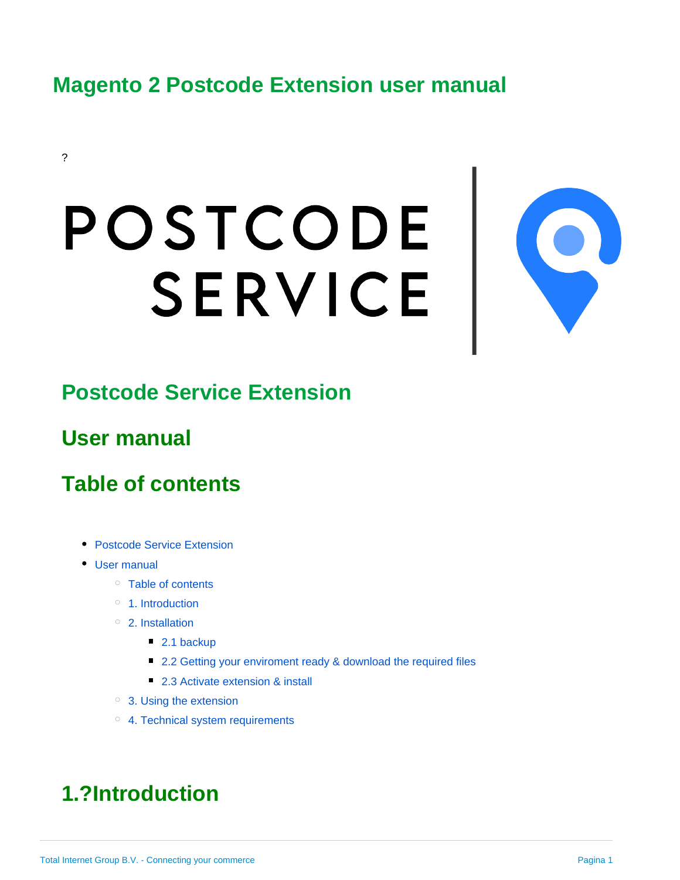## **Magento 2 Postcode Extension user manual**

#### ?

# POSTCODE SERVICE



## <span id="page-0-0"></span>**Postcode Service Extension**

## <span id="page-0-1"></span>**User manual**

## <span id="page-0-2"></span>**Table of contents**

- [Postcode Service Extension](#page-0-0)
- [User manual](#page-0-1)
	- <sup>o</sup> [Table of contents](#page-0-2)
	- <sup>o</sup> [1. Introduction](#page-0-3)
	- [2. Installation](#page-1-0)
		- [2.1 backup](#page-1-1)
		- [2.2 Getting your enviroment ready & download the required files](#page-1-2)
		- [2.3 Activate extension & install](#page-1-3)
	- [3. Using the extension](#page-2-0)
	- <sup>o</sup> [4. Technical system requirements](#page-3-0)

# <span id="page-0-3"></span>**1.?Introduction**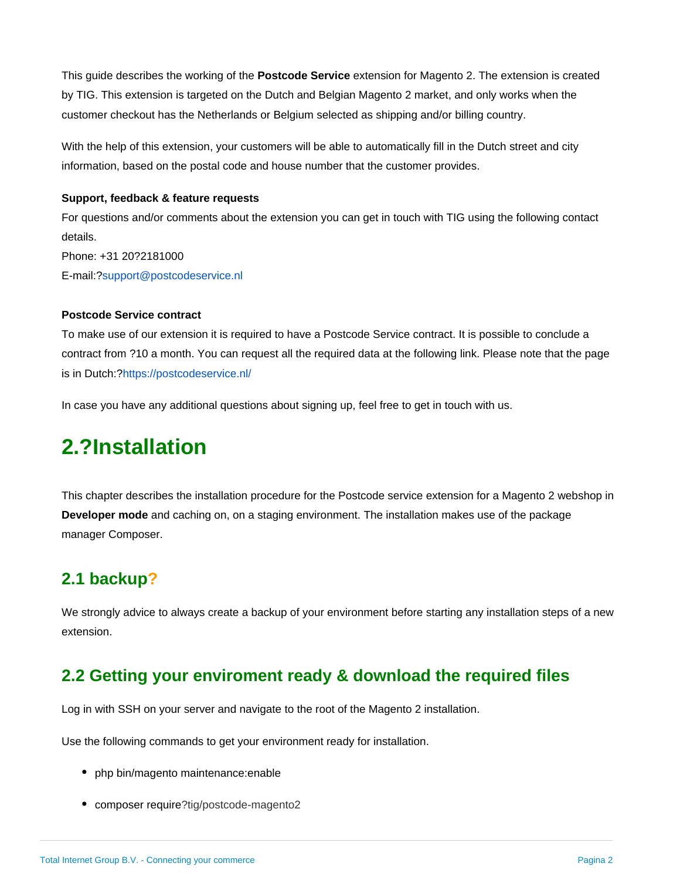This guide describes the working of the **Postcode Service** extension for Magento 2. The extension is created by TIG. This extension is targeted on the Dutch and Belgian Magento 2 market, and only works when the customer checkout has the Netherlands or Belgium selected as shipping and/or billing country.

With the help of this extension, your customers will be able to automatically fill in the Dutch street and city information, based on the postal code and house number that the customer provides.

#### **Support, feedback & feature requests**

For questions and/or comments about the extension you can get in touch with TIG using the following contact details. Phone: +31 20?2181000 E-mail:[?support@postcodeservice.nl](mailto:support@postcodeservice.nl)

#### **Postcode Service contract**

To make use of our extension it is required to have a Postcode Service contract. It is possible to conclude a contract from ?10 a month. You can request all the required data at the following link. Please note that the page is in Dutch:?<https://postcodeservice.nl/>

In case you have any additional questions about signing up, feel free to get in touch with us.

## <span id="page-1-0"></span>**2.?Installation**

This chapter describes the installation procedure for the Postcode service extension for a Magento 2 webshop in **Developer mode** and caching on, on a staging environment. The installation makes use of the package manager Composer.

#### <span id="page-1-1"></span>**2.1 backup?**

We strongly advice to always create a backup of your environment before starting any installation steps of a new extension.

#### <span id="page-1-2"></span>**2.2 Getting your enviroment ready & download the required files**

Log in with SSH on your server and navigate to the root of the Magento 2 installation.

Use the following commands to get your environment ready for installation.

- php bin/magento maintenance: enable
- <span id="page-1-3"></span>composer require?tig/postcode-magento2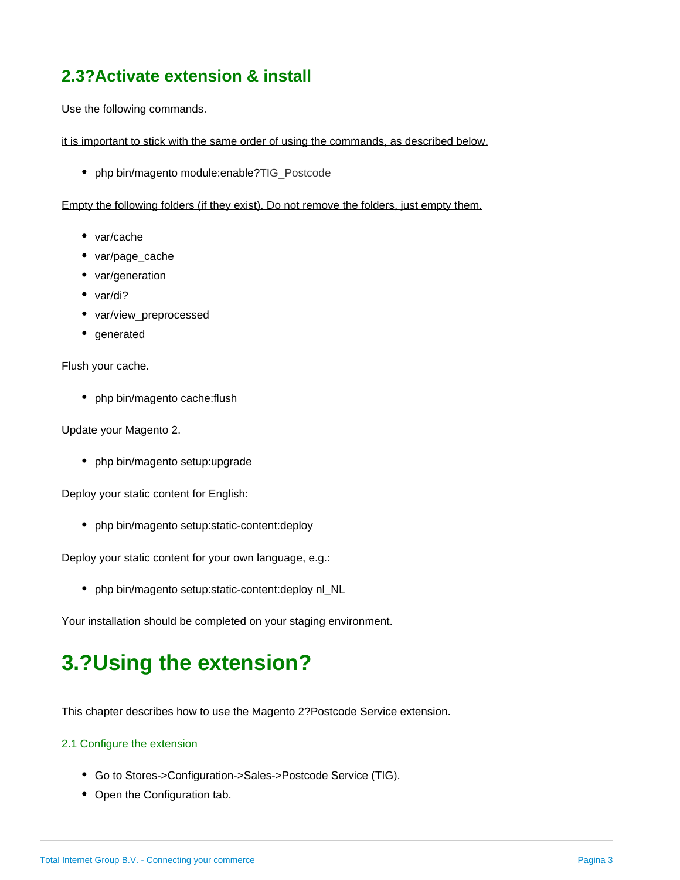#### **2.3?Activate extension & install**

Use the following commands.

it is important to stick with the same order of using the commands, as described below.

• php bin/magento module:enable?TIG\_Postcode

Empty the following folders (if they exist). Do not remove the folders, just empty them.

- var/cache
- var/page\_cache
- var/generation
- var/di?
- var/view\_preprocessed
- generated

Flush your cache.

• php bin/magento cache:flush

Update your Magento 2.

• php bin/magento setup:upgrade

Deploy your static content for English:

• php bin/magento setup: static-content: deploy

Deploy your static content for your own language, e.g.:

• php bin/magento setup: static-content: deploy nl\_NL

Your installation should be completed on your staging environment.

# <span id="page-2-0"></span>**3.?Using the extension?**

This chapter describes how to use the Magento 2?Postcode Service extension.

#### 2.1 Configure the extension

- Go to Stores->Configuration->Sales->Postcode Service (TIG).
- Open the Configuration tab.